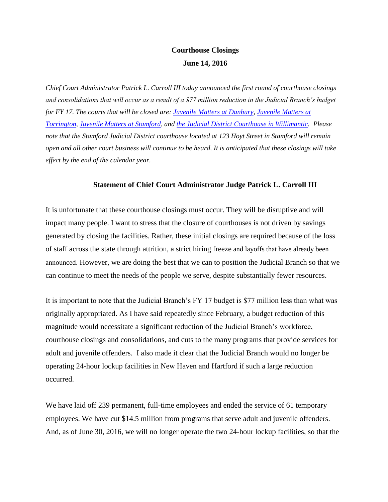## **Courthouse Closings June 14, 2016**

*Chief Court Administrator Patrick L. Carroll III today announced the first round of courthouse closings and consolidations that will occur as a result of a \$77 million reduction in the Judicial Branch's budget for FY 17. The courts that will be closed are: [Juvenile Matters at Danbury,](http://www.jud.ct.gov/directory/directory/directions/Juvenile/danbury.htm) [Juvenile Matters at](http://www.jud.ct.gov/directory/directory/directions/Juvenile/torrington.htm)  [Torrington,](http://www.jud.ct.gov/directory/directory/directions/Juvenile/torrington.htm) [Juvenile Matters at Stamford,](http://www.jud.ct.gov/directory/directory/directions/33.htm) and [the Judicial District Courthouse in Willimantic.](http://www.jud.ct.gov/directory/directory/directions/37_willimantic.htm) Please note that the Stamford Judicial District courthouse located at 123 Hoyt Street in Stamford will remain open and all other court business will continue to be heard. It is anticipated that these closings will take effect by the end of the calendar year.* 

## **Statement of Chief Court Administrator Judge Patrick L. Carroll III**

It is unfortunate that these courthouse closings must occur. They will be disruptive and will impact many people. I want to stress that the closure of courthouses is not driven by savings generated by closing the facilities. Rather, these initial closings are required because of the loss of staff across the state through attrition, a strict hiring freeze and layoffs that have already been announced. However, we are doing the best that we can to position the Judicial Branch so that we can continue to meet the needs of the people we serve, despite substantially fewer resources.

It is important to note that the Judicial Branch's FY 17 budget is \$77 million less than what was originally appropriated. As I have said repeatedly since February, a budget reduction of this magnitude would necessitate a significant reduction of the Judicial Branch's workforce, courthouse closings and consolidations, and cuts to the many programs that provide services for adult and juvenile offenders. I also made it clear that the Judicial Branch would no longer be operating 24-hour lockup facilities in New Haven and Hartford if such a large reduction occurred.

We have laid off 239 permanent, full-time employees and ended the service of 61 temporary employees. We have cut \$14.5 million from programs that serve adult and juvenile offenders. And, as of June 30, 2016, we will no longer operate the two 24-hour lockup facilities, so that the